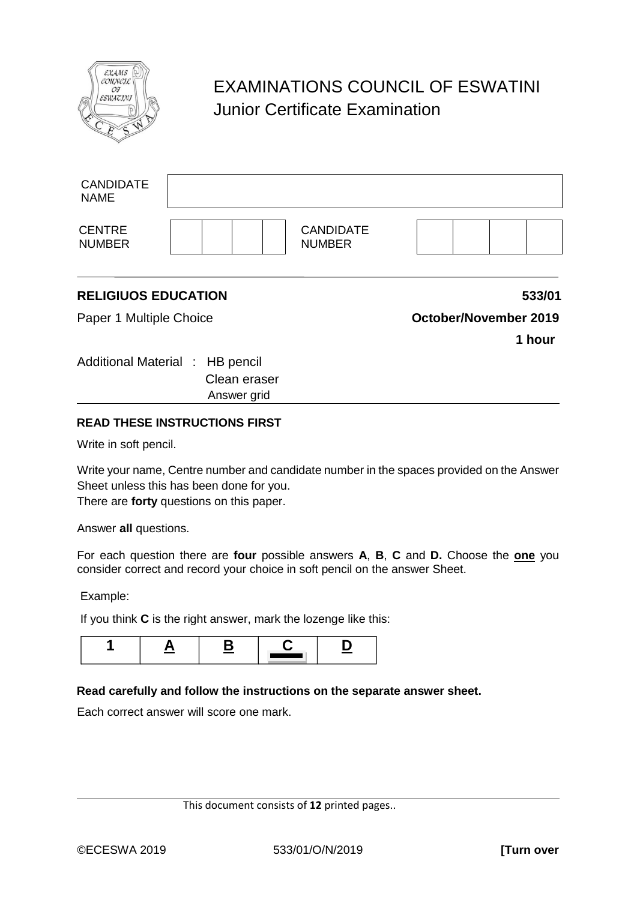

## EXAMINATIONS COUNCIL OF ESWATINI Junior Certificate Examination

| <b>CENTRE</b><br><b>NUMBER</b>  | <b>CANDIDATE</b><br><b>NUMBER</b> |
|---------------------------------|-----------------------------------|
|                                 |                                   |
| <b>RELIGIUOS EDUCATION</b>      | 533/01                            |
| Paper 1 Multiple Choice         | October/November 2019             |
|                                 | 1 hour                            |
| Additional Material : HB pencil |                                   |
| Clean eraser                    |                                   |
| Answer grid                     |                                   |
|                                 |                                   |

## **READ THESE INSTRUCTIONS FIRST**

Write in soft pencil.

Write your name, Centre number and candidate number in the spaces provided on the Answer Sheet unless this has been done for you.

There are **forty** questions on this paper.

Answer **all** questions.

For each question there are **four** possible answers **A**, **B**, **C** and **D.** Choose the **one** you consider correct and record your choice in soft pencil on the answer Sheet.

Example:

If you think **C** is the right answer, mark the lozenge like this:



## **Read carefully and follow the instructions on the separate answer sheet.**

Each correct answer will score one mark.

This document consists of **12** printed pages..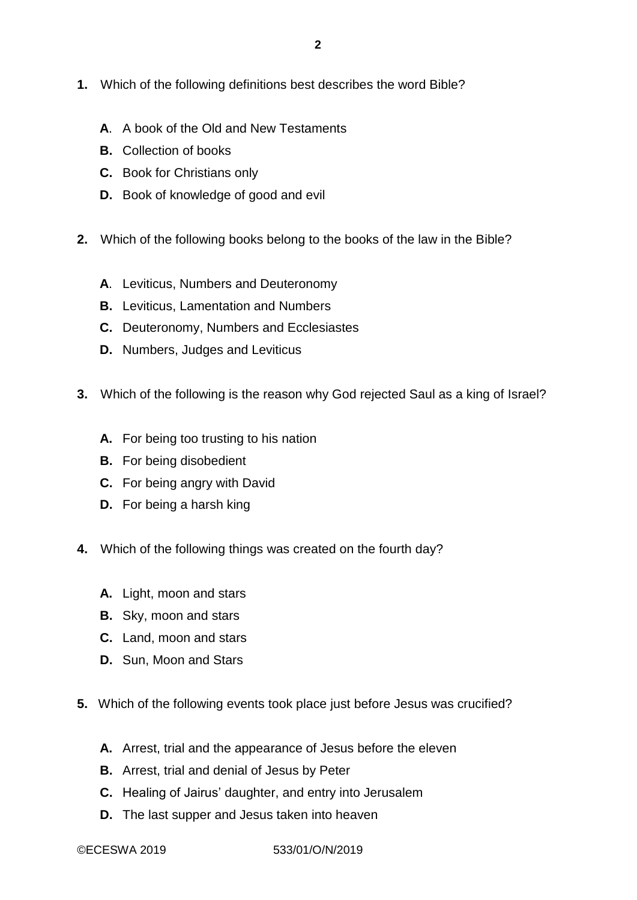- **1.** Which of the following definitions best describes the word Bible?
	- **A**. A book of the Old and New Testaments
	- **B.** Collection of books
	- **C.** Book for Christians only
	- **D.** Book of knowledge of good and evil
- **2.** Which of the following books belong to the books of the law in the Bible?
	- **A**. Leviticus, Numbers and Deuteronomy
	- **B.** Leviticus, Lamentation and Numbers
	- **C.** Deuteronomy, Numbers and Ecclesiastes
	- **D.** Numbers, Judges and Leviticus
- **3.** Which of the following is the reason why God rejected Saul as a king of Israel?
	- **A.** For being too trusting to his nation
	- **B.** For being disobedient
	- **C.** For being angry with David
	- **D.** For being a harsh king
- **4.** Which of the following things was created on the fourth day?
	- **A.** Light, moon and stars
	- **B.** Sky, moon and stars
	- **C.** Land, moon and stars
	- **D.** Sun, Moon and Stars
- **5.** Which of the following events took place just before Jesus was crucified?
	- **A.** Arrest, trial and the appearance of Jesus before the eleven
	- **B.** Arrest, trial and denial of Jesus by Peter
	- **C.** Healing of Jairus' daughter, and entry into Jerusalem
	- **D.** The last supper and Jesus taken into heaven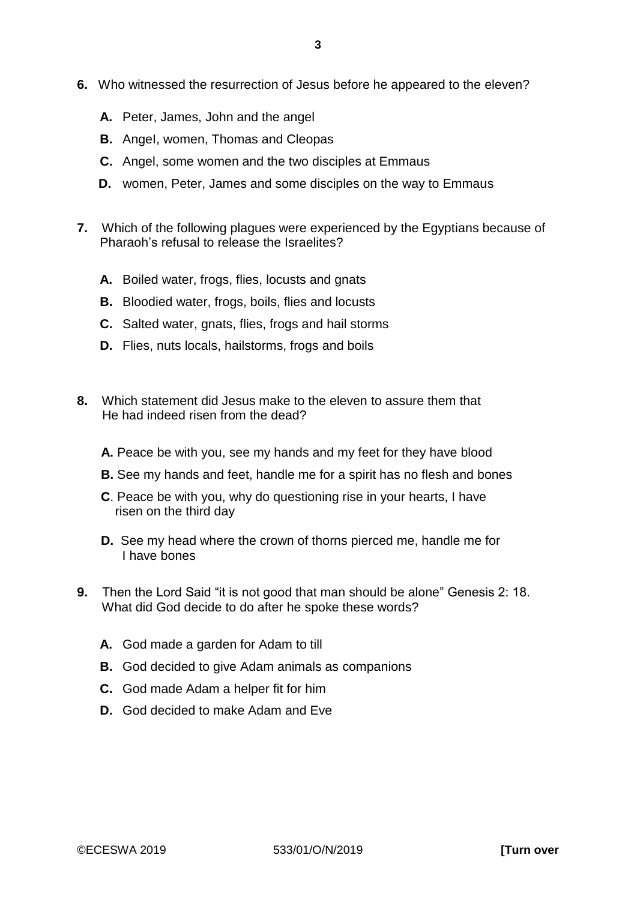- **6.** Who witnessed the resurrection of Jesus before he appeared to the eleven?
	- **A.** Peter, James, John and the angel
	- **B.** AngeI, women, Thomas and Cleopas
	- **C.** Angel, some women and the two disciples at Emmaus
	- **D.** women, Peter, James and some disciples on the way to Emmaus
- **7.** Which of the following plagues were experienced by the Egyptians because of Pharaoh's refusal to release the Israelites?
	- **A.** Boiled water, frogs, flies, locusts and gnats
	- **B.** Bloodied water, frogs, boils, flies and locusts
	- **C.** Salted water, gnats, flies, frogs and hail storms
	- **D.** Flies, nuts locals, hailstorms, frogs and boils
- **8.** Which statement did Jesus make to the eleven to assure them that He had indeed risen from the dead?
	- **A.** Peace be with you, see my hands and my feet for they have blood
	- **B.** See my hands and feet, handle me for a spirit has no flesh and bones
	- **C**. Peace be with you, why do questioning rise in your hearts, I have risen on the third day
	- **D.** See my head where the crown of thorns pierced me, handle me for I have bones
- **9.** Then the Lord Said "it is not good that man should be alone" Genesis 2: 18. What did God decide to do after he spoke these words?
	- **A.** God made a garden for Adam to till
	- **B.** God decided to give Adam animals as companions
	- **C.** God made Adam a helper fit for him
	- **D.** God decided to make Adam and Eve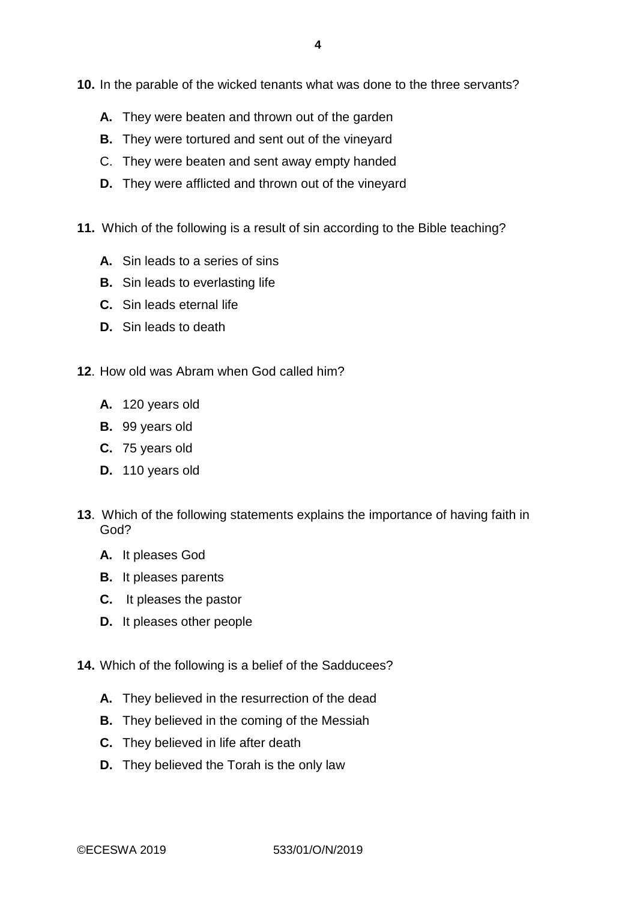**10.** In the parable of the wicked tenants what was done to the three servants?

- **A.** They were beaten and thrown out of the garden
- **B.** They were tortured and sent out of the vineyard
- C. They were beaten and sent away empty handed
- **D.** They were afflicted and thrown out of the vineyard
- **11.** Which of the following is a result of sin according to the Bible teaching?
	- **A.** Sin leads to a series of sins
	- **B.** Sin leads to everlasting life
	- **C.** Sin leads eternal life
	- **D.** Sin leads to death
- **12**. How old was Abram when God called him?
	- **A.** 120 years old
	- **B.** 99 years old
	- **C.** 75 years old
	- **D.** 110 years old
- **13**. Which of the following statements explains the importance of having faith in God?
	- **A.** It pleases God
	- **B.** It pleases parents
	- **C.** It pleases the pastor
	- **D.** It pleases other people
- **14.** Which of the following is a belief of the Sadducees?
	- **A.** They believed in the resurrection of the dead
	- **B.** They believed in the coming of the Messiah
	- **C.** They believed in life after death
	- **D.** They believed the Torah is the only law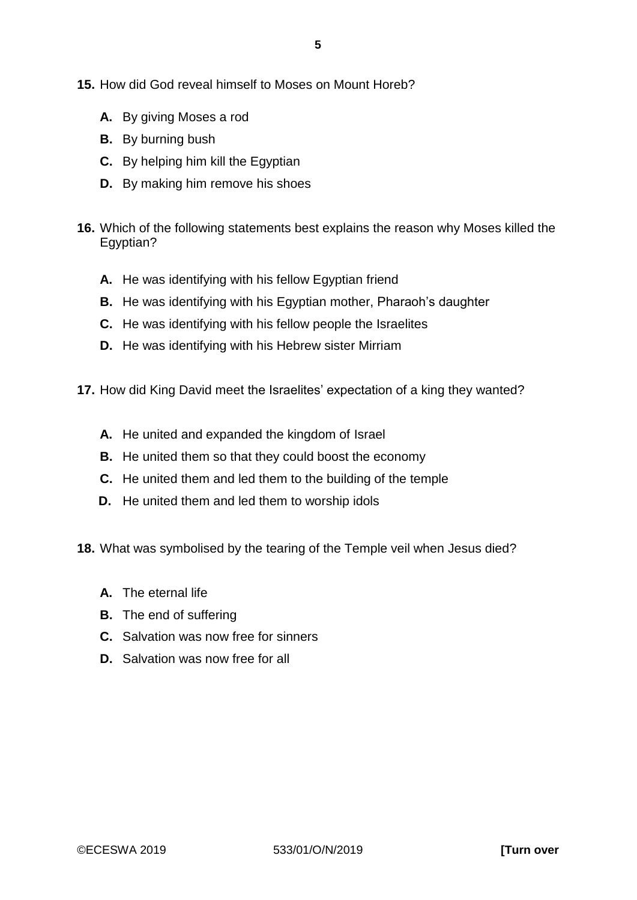**15.** How did God reveal himself to Moses on Mount Horeb?

- **A.** By giving Moses a rod
- **B.** By burning bush
- **C.** By helping him kill the Egyptian
- **D.** By making him remove his shoes
- **16.** Which of the following statements best explains the reason why Moses killed the Egyptian?
	- **A.** He was identifying with his fellow Egyptian friend
	- **B.** He was identifying with his Egyptian mother, Pharaoh's daughter
	- **C.** He was identifying with his fellow people the Israelites
	- **D.** He was identifying with his Hebrew sister Mirriam
- **17.** How did King David meet the Israelites' expectation of a king they wanted?
	- **A.** He united and expanded the kingdom of Israel
	- **B.** He united them so that they could boost the economy
	- **C.** He united them and led them to the building of the temple
	- **D.** He united them and led them to worship idols

**18.** What was symbolised by the tearing of the Temple veil when Jesus died?

- **A.** The eternal life
- **B.** The end of suffering
- **C.** Salvation was now free for sinners
- **D.** Salvation was now free for all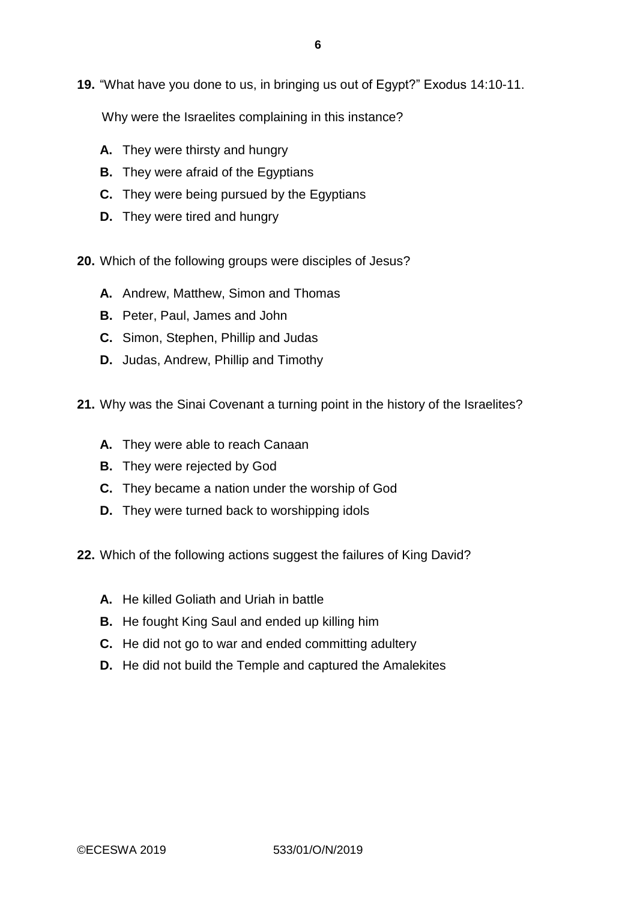**19.** "What have you done to us, in bringing us out of Egypt?" Exodus 14:10-11.

Why were the Israelites complaining in this instance?

- **A.** They were thirsty and hungry
- **B.** They were afraid of the Egyptians
- **C.** They were being pursued by the Egyptians
- **D.** They were tired and hungry
- **20.** Which of the following groups were disciples of Jesus?
	- **A.** Andrew, Matthew, Simon and Thomas
	- **B.** Peter, Paul, James and John
	- **C.** Simon, Stephen, Phillip and Judas
	- **D.** Judas, Andrew, Phillip and Timothy
- **21.** Why was the Sinai Covenant a turning point in the history of the Israelites?
	- **A.** They were able to reach Canaan
	- **B.** They were rejected by God
	- **C.** They became a nation under the worship of God
	- **D.** They were turned back to worshipping idols
- **22.** Which of the following actions suggest the failures of King David?
	- **A.** He killed Goliath and Uriah in battle
	- **B.** He fought King Saul and ended up killing him
	- **C.** He did not go to war and ended committing adultery
	- **D.** He did not build the Temple and captured the Amalekites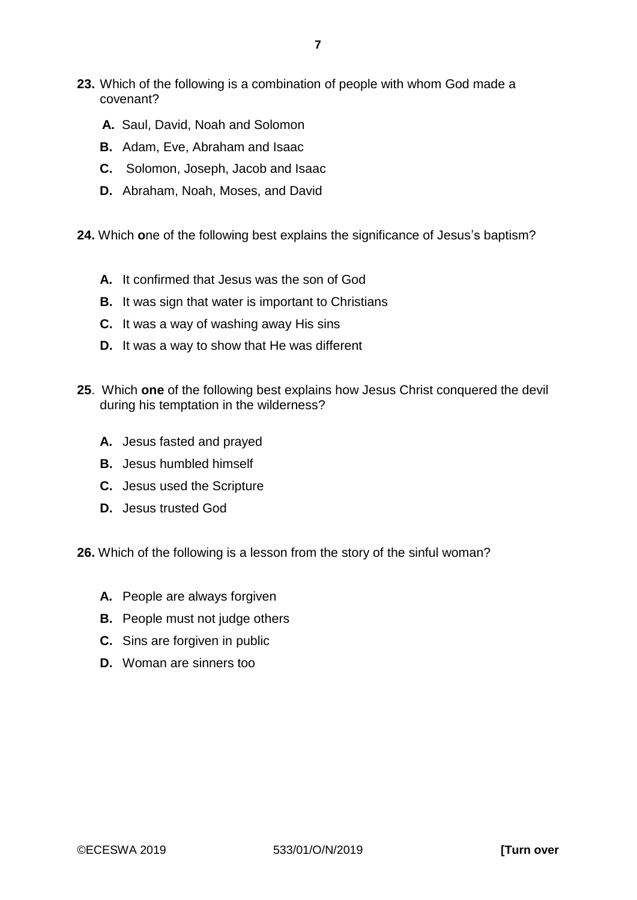- **23.** Which of the following is a combination of people with whom God made a covenant?
	- **A.** Saul, David, Noah and Solomon
	- **B.** Adam, Eve, Abraham and Isaac
	- **C.** Solomon, Joseph, Jacob and Isaac
	- **D.** Abraham, Noah, Moses, and David
- **24.** Which **o**ne of the following best explains the significance of Jesus's baptism?
	- **A.** It confirmed that Jesus was the son of God
	- **B.** It was sign that water is important to Christians
	- **C.** It was a way of washing away His sins
	- **D.** It was a way to show that He was different
- **25**. Which **one** of the following best explains how Jesus Christ conquered the devil during his temptation in the wilderness?
	- **A.** Jesus fasted and prayed
	- **B.** Jesus humbled himself
	- **C.** Jesus used the Scripture
	- **D.** Jesus trusted God

**26.** Which of the following is a lesson from the story of the sinful woman?

- **A.** People are always forgiven
- **B.** People must not judge others
- **C.** Sins are forgiven in public
- **D.** Woman are sinners too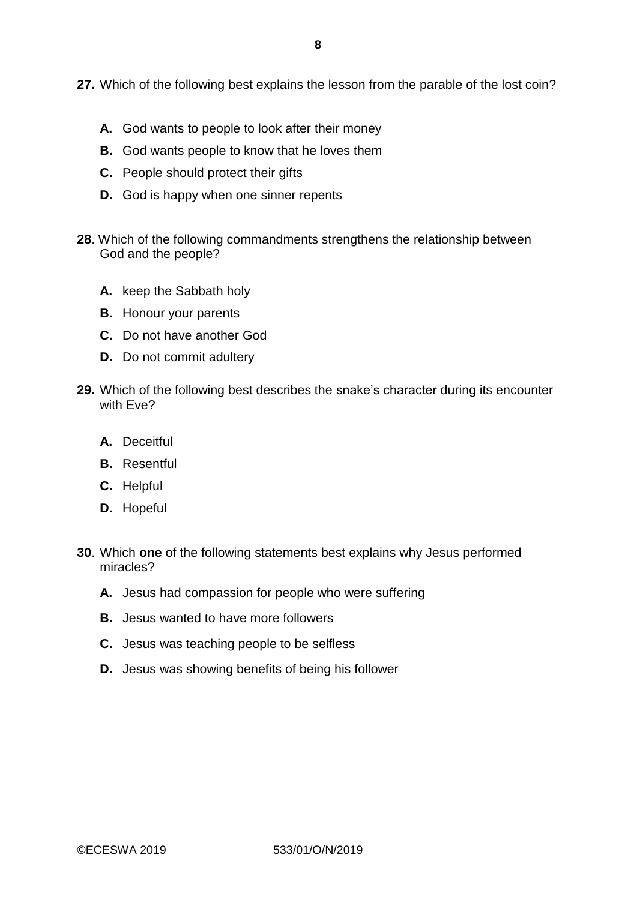**27.** Which of the following best explains the lesson from the parable of the lost coin?

- **A.** God wants to people to look after their money
- **B.** God wants people to know that he loves them
- **C.** People should protect their gifts
- **D.** God is happy when one sinner repents
- **28**. Which of the following commandments strengthens the relationship between God and the people?
	- **A.** keep the Sabbath holy
	- **B.** Honour your parents
	- **C.** Do not have another God
	- **D.** Do not commit adultery
- **29.** Which of the following best describes the snake's character during its encounter with Eve?
	- **A.** Deceitful
	- **B.** Resentful
	- **C.** Helpful
	- **D.** Hopeful
- **30**. Which **one** of the following statements best explains why Jesus performed miracles?
	- **A.** Jesus had compassion for people who were suffering
	- **B.** Jesus wanted to have more followers
	- **C.** Jesus was teaching people to be selfless
	- **D.** Jesus was showing benefits of being his follower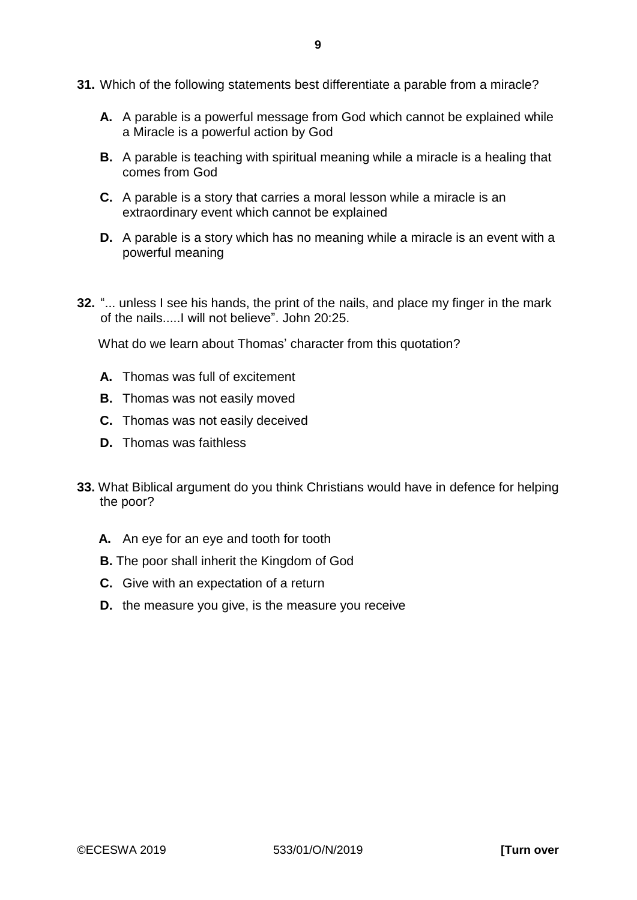- **31.** Which of the following statements best differentiate a parable from a miracle?
	- **A.** A parable is a powerful message from God which cannot be explained while a Miracle is a powerful action by God
	- **B.** A parable is teaching with spiritual meaning while a miracle is a healing that comes from God
	- **C.** A parable is a story that carries a moral lesson while a miracle is an extraordinary event which cannot be explained
	- **D.** A parable is a story which has no meaning while a miracle is an event with a powerful meaning
- **32.** "... unless I see his hands, the print of the nails, and place my finger in the mark of the nails.....I will not believe". John 20:25.

What do we learn about Thomas' character from this quotation?

- **A.** Thomas was full of excitement
- **B.** Thomas was not easily moved
- **C.** Thomas was not easily deceived
- **D.** Thomas was faithless
- **33.** What Biblical argument do you think Christians would have in defence for helping the poor?
	- **A.** An eye for an eye and tooth for tooth
	- **B.** The poor shall inherit the Kingdom of God
	- **C.** Give with an expectation of a return
	- **D.** the measure you give, is the measure you receive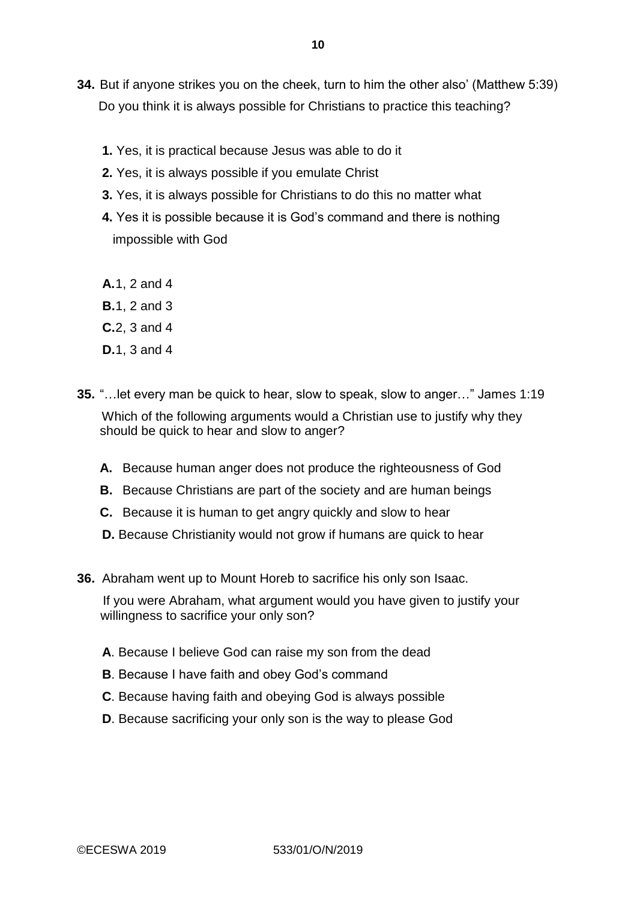- **34.** But if anyone strikes you on the cheek, turn to him the other also' (Matthew 5:39) Do you think it is always possible for Christians to practice this teaching?
	- **1.** Yes, it is practical because Jesus was able to do it
	- **2.** Yes, it is always possible if you emulate Christ
	- **3.** Yes, it is always possible for Christians to do this no matter what
	- **4.** Yes it is possible because it is God's command and there is nothing impossible with God
	- **A.**1, 2 and 4
	- **B.**1, 2 and 3
	- **C.**2, 3 and 4
	- **D.**1, 3 and 4
- **35.** "…let every man be quick to hear, slow to speak, slow to anger…" James 1:19 Which of the following arguments would a Christian use to justify why they should be quick to hear and slow to anger?
	- **A.** Because human anger does not produce the righteousness of God
	- **B.** Because Christians are part of the society and are human beings
	- **C.** Because it is human to get angry quickly and slow to hear
	- **D.** Because Christianity would not grow if humans are quick to hear
- **36.** Abraham went up to Mount Horeb to sacrifice his only son Isaac.

 If you were Abraham, what argument would you have given to justify your willingness to sacrifice your only son?

- **A**. Because I believe God can raise my son from the dead
- **B**. Because I have faith and obey God's command
- **C**. Because having faith and obeying God is always possible
- **D**. Because sacrificing your only son is the way to please God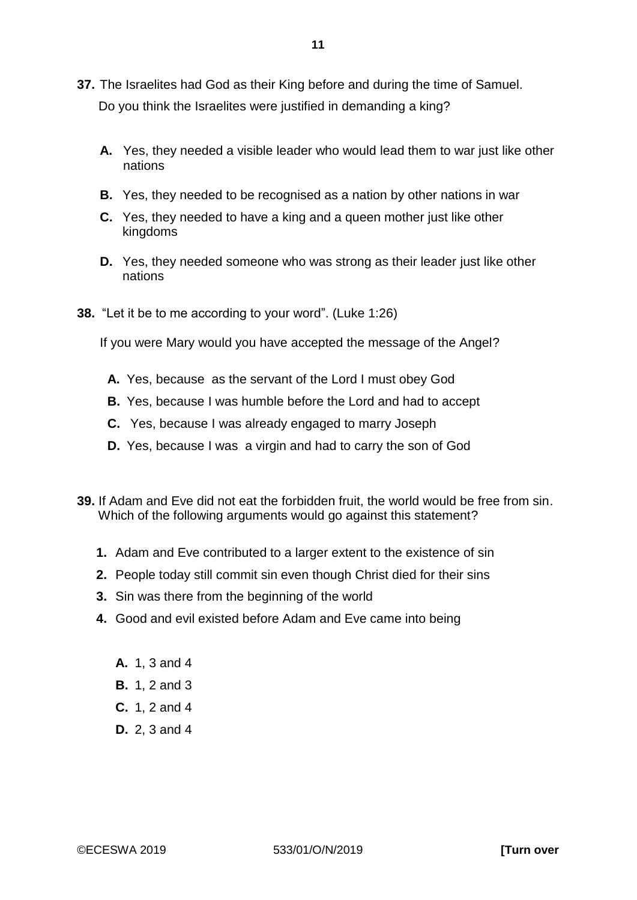- **37.** The Israelites had God as their King before and during the time of Samuel. Do you think the Israelites were justified in demanding a king?
	- **A.** Yes, they needed a visible leader who would lead them to war just like other nations
	- **B.** Yes, they needed to be recognised as a nation by other nations in war
	- **C.** Yes, they needed to have a king and a queen mother just like other kingdoms
	- **D.** Yes, they needed someone who was strong as their leader just like other nations
- **38.** "Let it be to me according to your word". (Luke 1:26)

If you were Mary would you have accepted the message of the Angel?

- **A.** Yes, because as the servant of the Lord I must obey God
- **B.** Yes, because I was humble before the Lord and had to accept
- **C.** Yes, because I was already engaged to marry Joseph
- **D.** Yes, because I was a virgin and had to carry the son of God
- **39.** If Adam and Eve did not eat the forbidden fruit, the world would be free from sin. Which of the following arguments would go against this statement?
	- **1.** Adam and Eve contributed to a larger extent to the existence of sin
	- **2.** People today still commit sin even though Christ died for their sins
	- **3.** Sin was there from the beginning of the world
	- **4.** Good and evil existed before Adam and Eve came into being
		- **A.** 1, 3 and 4
		- **B.** 1, 2 and 3
		- **C.** 1, 2 and 4
		- **D.** 2, 3 and 4